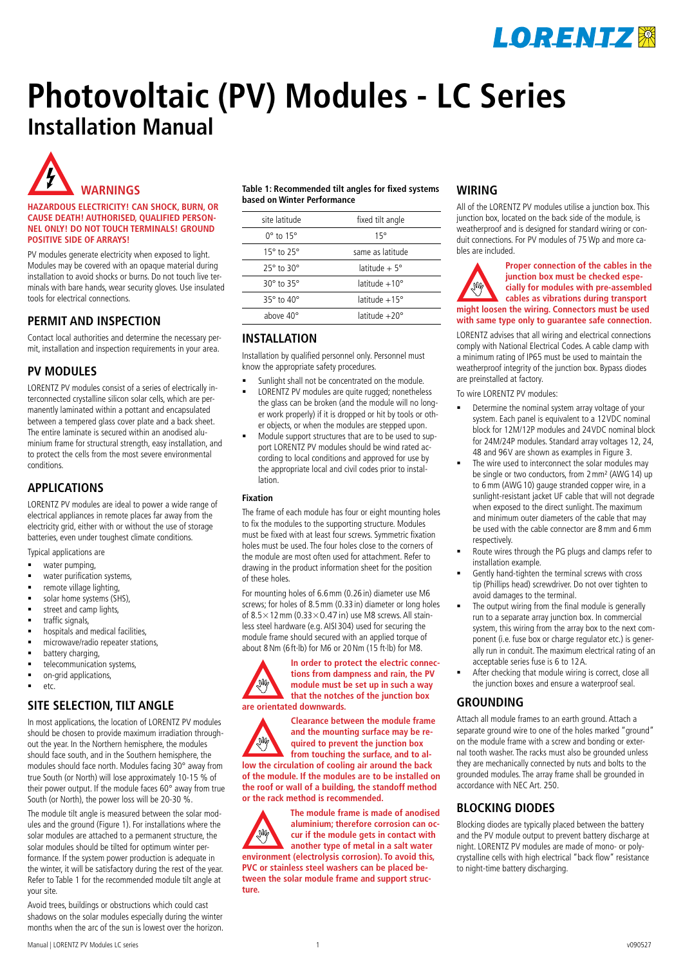

# **Photovoltaic (PV) Modules - LC Series Installation Manual**



#### **HAZARDOUS ELECTRICITY! CAN SHOCK, BURN, OR CAUSE DEATH! AUTHORISED, QUALIFIED PERSON-NEL ONLY! DO NOT TOUCH TERMINALS! GROUND POSITIVE SIDE OF ARRAYS!**

PV modules generate electricity when exposed to light. Modules may be covered with an opaque material during installation to avoid shocks or burns. Do not touch live terminals with bare hands, wear security gloves. Use insulated tools for electrical connections.

## **PERMIT AND INSPECTION**

Contact local authorities and determine the necessary permit, installation and inspection requirements in your area.

## **PV MODULES**

LORENTZ PV modules consist of a series of electrically interconnected crystalline silicon solar cells, which are permanently laminated within a pottant and encapsulated between a tempered glass cover plate and a back sheet. The entire laminate is secured within an anodised aluminium frame for structural strength, easy installation, and to protect the cells from the most severe environmental conditions.

# **APPLICATIONS**

LORENTZ PV modules are ideal to power a wide range of electrical appliances in remote places far away from the electricity grid, either with or without the use of storage batteries, even under toughest climate conditions.

Typical applications are

- water pumping,
- water purification systems,
- remote village lighting,
- solar home systems (SHS),
- street and camp lights,
- traffic signals,
- hospitals and medical facilities,
- microwave/radio repeater stations,
- battery charging,
- telecommunication systems, **•** on-grid applications,
- etc.

## **SITE SELECTION, TILT ANGLE**

In most applications, the location of LORENTZ PV modules should be chosen to provide maximum irradiation throughout the year. In the Northern hemisphere, the modules should face south, and in the Southern hemisphere, the modules should face north. Modules facing 30° away from true South (or North) will lose approximately 10-15 % of their power output. If the module faces 60° away from true South (or North), the power loss will be 20-30 %.

The module tilt angle is measured between the solar modules and the ground (Figure 1). For installations where the solar modules are attached to a permanent structure, the solar modules should be tilted for optimum winter performance. If the system power production is adequate in the winter, it will be satisfactory during the rest of the year. Refer to Table 1 for the recommended module tilt angle at your site.

Avoid trees, buildings or obstructions which could cast shadows on the solar modules especially during the winter months when the arc of the sun is lowest over the horizon.

#### **Table 1: Recommended tilt angles for fixed systems based on Winter Performance**

| site latitude                | fixed tilt angle        |  |
|------------------------------|-------------------------|--|
| $0^{\circ}$ to $15^{\circ}$  | $15^{\circ}$            |  |
| 15 $\degree$ to 25 $\degree$ | same as latitude        |  |
| $25^\circ$ to $30^\circ$     | latitude + $5^\circ$    |  |
| 30° to 35°                   | latitude $+10^{\circ}$  |  |
| $35^\circ$ to $40^\circ$     | latitude $+15^\circ$    |  |
| above $40^{\circ}$           | $l$ atitude $+20^\circ$ |  |
|                              |                         |  |

# **INSTALLATION**

Installation by qualified personnel only. Personnel must know the appropriate safety procedures.

- Sunlight shall not be concentrated on the module.
- LORENTZ PV modules are quite rugged; nonetheless the glass can be broken (and the module will no longer work properly) if it is dropped or hit by tools or other objects, or when the modules are stepped upon.
- Module support structures that are to be used to support LORENTZ PV modules should be wind rated according to local conditions and approved for use by the appropriate local and civil codes prior to installation.

#### **Fixation**

The frame of each module has four or eight mounting holes to fix the modules to the supporting structure. Modules must be fixed with at least four screws. Symmetric fixation holes must be used. The four holes close to the corners of the module are most often used for attachment. Refer to drawing in the product information sheet for the position of these holes.

For mounting holes of 6.6mm (0.26 in) diameter use M6 screws; for holes of 8.5mm (0.33 in) diameter or long holes of  $8.5 \times 12$  mm (0.33 $\times$ 0.47 in) use M8 screws. All stainless steel hardware (e.g. AISI 304) used for securing the module frame should secured with an applied torque of about 8Nm (6 ft∙lb) for M6 or 20Nm (15 ft∙lb) for M8.



**In order to protect the electric connections from dampness and rain, the PV module must be set up in such a way that the notches of the junction box are orientated downwards.**

**Clearance between the module frame and the mounting surface may be re-**AM **quired to prevent the junction box from touching the surface, and to allow the circulation of cooling air around the back of the module. If the modules are to be installed on the roof or wall of a building, the standoff method or the rack method is recommended.**

**The module frame is made of anodised aluminium; therefore corrosion can oc-AM cur if the module gets in contact with another type of metal in a salt water environment (electrolysis corrosion). To avoid this, PVC or stainless steel washers can be placed between the solar module frame and support structure.**

# **WIRING**

All of the LORENTZ PV modules utilise a junction box. This junction box, located on the back side of the module, is weatherproof and is designed for standard wiring or conduit connections. For PV modules of 75 Wp and more cables are included.

**Proper connection of the cables in the junction box must be checked espe-**N **cially for modules with pre-assembled cables as vibrations during transport might loosen the wiring. Connectors must be used with same type only to guarantee safe connection.**  LORENTZ advises that all wiring and electrical connections comply with National Electrical Codes. A cable clamp with a minimum rating of IP65 must be used to maintain the weatherproof integrity of the junction box. Bypass diodes are preinstalled at factory.

To wire LORENTZ PV modules:

- Determine the nominal system array voltage of your system. Each panel is equivalent to a 12VDC nominal block for 12M/12P modules and 24VDC nominal block for 24M/24P modules. Standard array voltages 12, 24, 48 and 96V are shown as examples in Figure 3.
- The wire used to interconnect the solar modules may be single or two conductors, from 2 mm<sup>2</sup> (AWG 14) up to 6mm (AWG10) gauge stranded copper wire, in a sunlight-resistant jacket UF cable that will not degrade when exposed to the direct sunlight. The maximum and minimum outer diameters of the cable that may be used with the cable connector are 8mm and 6mm respectively.
- Route wires through the PG plugs and clamps refer to installation example.
- Gently hand-tighten the terminal screws with cross tip (Phillips head) screwdriver. Do not over tighten to avoid damages to the terminal.
- The output wiring from the final module is generally run to a separate array junction box. In commercial system, this wiring from the array box to the next component (i.e. fuse box or charge regulator etc.) is generally run in conduit. The maximum electrical rating of an acceptable series fuse is 6 to 12A.
- After checking that module wiring is correct, close all the junction boxes and ensure a waterproof seal.

# **GROUNDING**

Attach all module frames to an earth ground. Attach a separate ground wire to one of the holes marked "ground" on the module frame with a screw and bonding or external tooth washer. The racks must also be grounded unless they are mechanically connected by nuts and bolts to the grounded modules. The array frame shall be grounded in accordance with NEC Art. 250.

# **BLOCKING DIODES**

Blocking diodes are typically placed between the battery and the PV module output to prevent battery discharge at night. LORENTZ PV modules are made of mono- or polycrystalline cells with high electrical "back flow" resistance to night-time battery discharging.